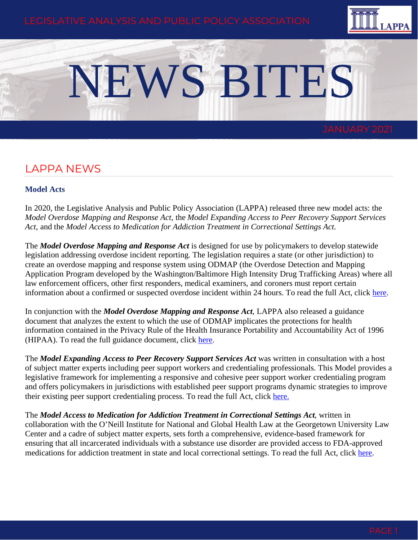

# NEWS BITES

# LAPPA NEWS

#### **Model Acts**

In 2020, the Legislative Analysis and Public Policy Association (LAPPA) released three new model acts: the *Model Overdose Mapping and Response Act,* the *Model Expanding Access to Peer Recovery Support Services Act,* and the *Model Access to Medication for Addiction Treatment in Correctional Settings Act*.

The *Model Overdose Mapping and Response Act* is designed for use by policymakers to develop statewide legislation addressing overdose incident reporting. The legislation requires a state (or other jurisdiction) to create an overdose mapping and response system using ODMAP (the Overdose Detection and Mapping Application Program developed by the Washington/Baltimore High Intensity Drug Trafficking Areas) where all law enforcement officers, other first responders, medical examiners, and coroners must report certain information about a confirmed or suspected overdose incident within 24 hours. To read the full Act, click [here.](http://legislativeanalysis.org/wp-content/uploads/2020/12/ODMAP-Model-Act-FINAL.pdf)

In conjunction with the *Model Overdose Mapping and Response Act*, LAPPA also released a guidance document that analyzes the extent to which the use of ODMAP implicates the protections for health information contained in the Privacy Rule of the Health Insurance Portability and Accountability Act of 1996 (HIPAA). To read the full guidance document, click [here.](http://legislativeanalysis.org/wp-content/uploads/2020/03/ODMAP-Data-Privacy-Guidance.pdf)

The *Model Expanding Access to Peer Recovery Support Services Act* was written in consultation with a host of subject matter experts including peer support workers and credentialing professionals. This Model provides a legislative framework for implementing a responsive and cohesive peer support worker credentialing program and offers policymakers in jurisdictions with established peer support programs dynamic strategies to improve their existing peer support credentialing process. To read the full Act, click [here.](http://legislativeanalysis.org/wp-content/uploads/2020/10/Model-Expanding-Access-to-Peer-Recovery-Support-Services-Act-1.pdf)

The *Model Access to Medication for Addiction Treatment in Correctional Settings Act*, written in collaboration with the O'Neill Institute for National and Global Health Law at the Georgetown University Law Center and a cadre of subject matter experts, sets forth a comprehensive, evidence-based framework for ensuring that all incarcerated individuals with a substance use disorder are provided access to FDA-approved medications for addiction treatment in state and local correctional settings. To read the full Act, click [here.](https://legislativeanalysis.org/wp-content/uploads/2020/11/Model-Access-to-Medication-for-Addiction-Treatment-in-Correctional-Settings-Act-2.pdf)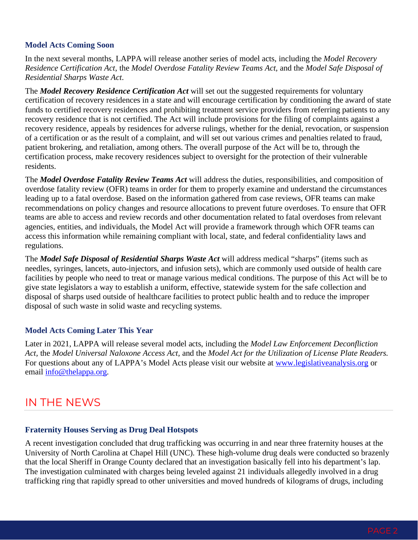#### **Model Acts Coming Soon**

In the next several months, LAPPA will release another series of model acts, including the *Model Recovery Residence Certification Act*, the *Model Overdose Fatality Review Teams Act,* and the *Model Safe Disposal of Residential Sharps Waste Act*.

The *Model Recovery Residence Certification Act* will set out the suggested requirements for voluntary certification of recovery residences in a state and will encourage certification by conditioning the award of state funds to certified recovery residences and prohibiting treatment service providers from referring patients to any recovery residence that is not certified. The Act will include provisions for the filing of complaints against a recovery residence, appeals by residences for adverse rulings, whether for the denial, revocation, or suspension of a certification or as the result of a complaint, and will set out various crimes and penalties related to fraud, patient brokering, and retaliation, among others. The overall purpose of the Act will be to, through the certification process, make recovery residences subject to oversight for the protection of their vulnerable residents.

The *Model Overdose Fatality Review Teams Act* will address the duties, responsibilities, and composition of overdose fatality review (OFR) teams in order for them to properly examine and understand the circumstances leading up to a fatal overdose. Based on the information gathered from case reviews, OFR teams can make recommendations on policy changes and resource allocations to prevent future overdoses. To ensure that OFR teams are able to access and review records and other documentation related to fatal overdoses from relevant agencies, entities, and individuals, the Model Act will provide a framework through which OFR teams can access this information while remaining compliant with local, state, and federal confidentiality laws and regulations.

The *Model Safe Disposal of Residential Sharps Waste Act* will address medical "sharps" (items such as needles, syringes, lancets, auto-injectors, and infusion sets), which are commonly used outside of health care facilities by people who need to treat or manage various medical conditions. The purpose of this Act will be to give state legislators a way to establish a uniform, effective, statewide system for the safe collection and disposal of sharps used outside of healthcare facilities to protect public health and to reduce the improper disposal of such waste in solid waste and recycling systems.

### **Model Acts Coming Later This Year**

Later in 2021, LAPPA will release several model acts, including the *Model Law Enforcement Deconfliction Act,* the *Model Universal Naloxone Access Act,* and the *Model Act for the Utilization of License Plate Readers.*  For questions about any of LAPPA's Model Acts please visit our website at [www.legislativeanalysis.org](http://www.legislativeanalysis.org/) or email [info@thelappa.org.](mailto:info@thelappa.org)

# IN THE NEWS

#### **Fraternity Houses Serving as Drug Deal Hotspots**

A recent investigation concluded that drug trafficking was occurring in and near three fraternity houses at the University of North Carolina at Chapel Hill (UNC). These high-volume drug deals were conducted so brazenly that the local Sheriff in Orange County declared that an investigation basically fell into his department's lap. The investigation culminated with charges being leveled against 21 individuals allegedly involved in a drug trafficking ring that rapidly spread to other universities and moved hundreds of kilograms of drugs, including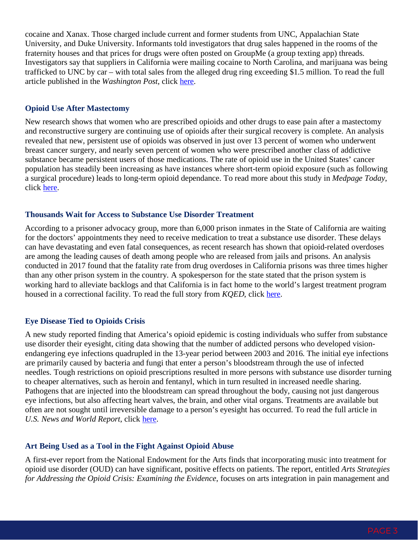cocaine and Xanax. Those charged include current and former students from UNC, Appalachian State University, and Duke University. Informants told investigators that drug sales happened in the rooms of the fraternity houses and that prices for drugs were often posted on GroupMe (a group texting app) threads. Investigators say that suppliers in California were mailing cocaine to North Carolina, and marijuana was being trafficked to UNC by car – with total sales from the alleged drug ring exceeding \$1.5 million. To read the full article published in the *Washington Post*, click [here.](https://www.washingtonpost.com/nation/2020/12/18/unc-duke-fraternity-drug-ring/)

#### **Opioid Use After Mastectomy**

New research shows that women who are prescribed opioids and other drugs to ease pain after a mastectomy and reconstructive surgery are continuing use of opioids after their surgical recovery is complete. An analysis revealed that new, persistent use of opioids was observed in just over 13 percent of women who underwent breast cancer surgery, and nearly seven percent of women who were prescribed another class of addictive substance became persistent users of those medications. The rate of opioid use in the United States' cancer population has steadily been increasing as have instances where short-term opioid exposure (such as following a surgical procedure) leads to long-term opioid dependance. To read more about this study in *Medpage Today*, click [here.](https://www.medpagetoday.com/meetingcoverage/sabcs/90158)

#### **Thousands Wait for Access to Substance Use Disorder Treatment**

According to a prisoner advocacy group, more than 6,000 prison inmates in the State of California are waiting for the doctors' appointments they need to receive medication to treat a substance use disorder. These delays can have devastating and even fatal consequences, as recent research has shown that opioid-related overdoses are among the leading causes of death among people who are released from jails and prisons. An analysis conducted in 2017 found that the fatality rate from drug overdoses in California prisons was three times higher than any other prison system in the country. A spokesperson for the state stated that the prison system is working hard to alleviate backlogs and that California is in fact home to the world's largest treatment program housed in a correctional facility. To read the full story from *KQED*, click [here.](https://www.kqed.org/news/11849703/thousands-of-california-inmates-waiting-for-access-to-addiction-treatment)

#### **Eye Disease Tied to Opioids Crisis**

A new study reported finding that America's opioid epidemic is costing individuals who suffer from substance use disorder their eyesight, citing data showing that the number of addicted persons who developed visionendangering eye infections quadrupled in the 13-year period between 2003 and 2016. The initial eye infections are primarily caused by bacteria and fungi that enter a person's bloodstream through the use of infected needles. Tough restrictions on opioid prescriptions resulted in more persons with substance use disorder turning to cheaper alternatives, such as heroin and fentanyl, which in turn resulted in increased needle sharing. Pathogens that are injected into the bloodstream can spread throughout the body, causing not just dangerous eye infections, but also affecting heart valves, the brain, and other vital organs. Treatments are available but often are not sought until irreversible damage to a person's eyesight has occurred. To read the full article in U.S. News and World Report, click [here.](https://www.usnews.com/news/health-news/articles/2020-11-05/another-tragedy-tied-to-opioids-eye-disease)

#### **Art Being Used as a Tool in the Fight Against Opioid Abuse**

A first-ever report from the National Endowment for the Arts finds that incorporating music into treatment for opioid use disorder (OUD) can have significant, positive effects on patients. The report, entitled *Arts Strategies for Addressing the Opioid Crisis: Examining the Evidence*, focuses on arts integration in pain management and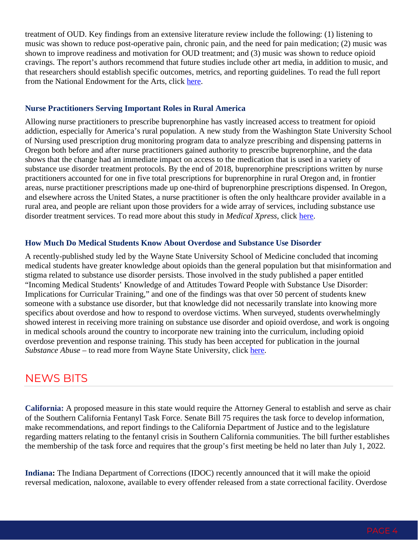treatment of OUD. Key findings from an extensive literature review include the following: (1) listening to music was shown to reduce post-operative pain, chronic pain, and the need for pain medication; (2) music was shown to improve readiness and motivation for OUD treatment; and (3) music was shown to reduce opioid cravings. The report's authors recommend that future studies include other art media, in addition to music, and that researchers should establish specific outcomes, metrics, and reporting guidelines. To read the full report from the National Endowment for the Arts, click [here.](https://www.arts.gov/about/news/2020/new-report-national-endowment-arts-shows-arts-can-be-significant-tool-fight-against-opioid-abuse)

#### **Nurse Practitioners Serving Important Roles in Rural America**

Allowing nurse practitioners to prescribe buprenorphine has vastly increased access to treatment for opioid addiction, especially for America's rural population. A new study from the Washington State University School of Nursing used prescription drug monitoring program data to analyze prescribing and dispensing patterns in Oregon both before and after nurse practitioners gained authority to prescribe buprenorphine, and the data shows that the change had an immediate impact on access to the medication that is used in a variety of substance use disorder treatment protocols. By the end of 2018, buprenorphine prescriptions written by nurse practitioners accounted for one in five total prescriptions for buprenorphine in rural Oregon and, in frontier areas, nurse practitioner prescriptions made up one-third of buprenorphine prescriptions dispensed. In Oregon, and elsewhere across the United States, a nurse practitioner is often the only healthcare provider available in a rural area, and people are reliant upon those providers for a wide array of services, including substance use disorder treatment services. To read more about this study in *Medical Xpress*, click [here.](https://medicalxpress.com/news/2020-11-nurse-practitioners-key-role-opioid.html)

#### **How Much Do Medical Students Know About Overdose and Substance Use Disorder**

A recently-published study led by the Wayne State University School of Medicine concluded that incoming medical students have greater knowledge about opioids than the general population but that misinformation and stigma related to substance use disorder persists. Those involved in the study published a paper entitled "Incoming Medical Students' Knowledge of and Attitudes Toward People with Substance Use Disorder: Implications for Curricular Training," and one of the findings was that over 50 percent of students knew someone with a substance use disorder, but that knowledge did not necessarily translate into knowing more specifics about overdose and how to respond to overdose victims. When surveyed, students overwhelmingly showed interest in receiving more training on substance use disorder and opioid overdose, and work is ongoing in medical schools around the country to incorporate new training into the curriculum, including opioid overdose prevention and response training. This study has been accepted for publication in the journal *Substance Abuse* – to read more from Wayne State University, click [here.](https://today.wayne.edu/medicine/news/2020/11/08/study-examines-incoming-medical-student-knowledge-of-opioid-overdoses-and-substance-use-disorders-40899)

# NEWS BITS

**California:** A proposed measure in this state would require the Attorney General to establish and serve as chair of the Southern California Fentanyl Task Force. Senate Bill 75 requires the task force to develop information, make recommendations, and report findings to the California Department of Justice and to the legislature regarding matters relating to the fentanyl crisis in Southern California communities. The bill further establishes the membership of the task force and requires that the group's first meeting be held no later than July 1, 2022.

**Indiana:** The Indiana Department of Corrections (IDOC) recently announced that it will make the opioid reversal medication, naloxone, available to every offender released from a state correctional facility. Overdose